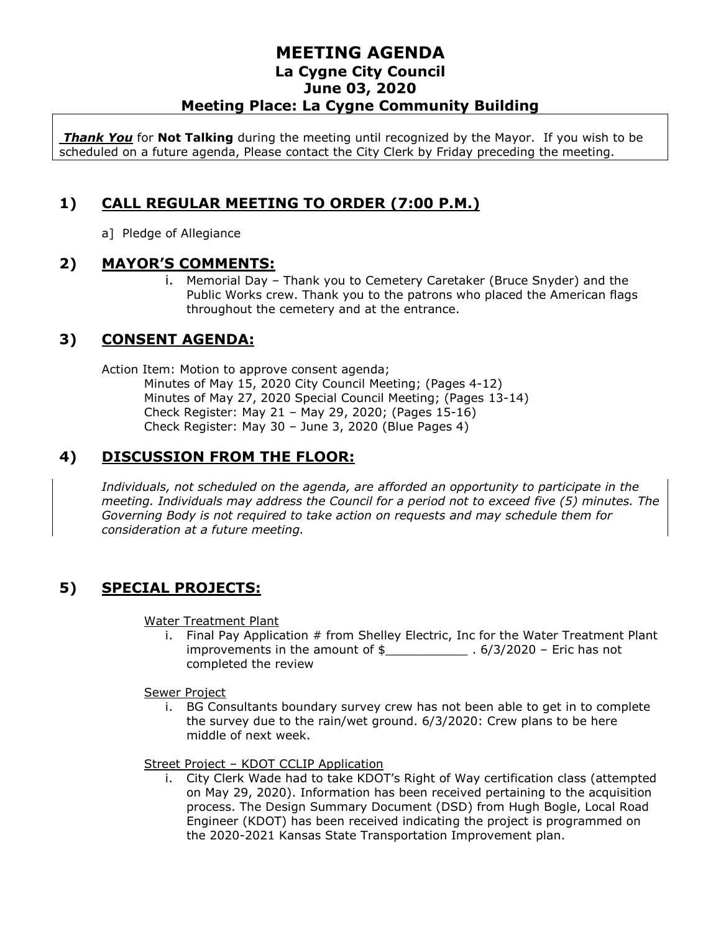### **MEETING AGENDA La Cygne City Council June 03, 2020 Meeting Place: La Cygne Community Building**

*Thank You* for **Not Talking** during the meeting until recognized by the Mayor. If you wish to be scheduled on a future agenda, Please contact the City Clerk by Friday preceding the meeting.

# **1) CALL REGULAR MEETING TO ORDER (7:00 P.M.)**

a] Pledge of Allegiance

#### **2) MAYOR'S COMMENTS:**

i. Memorial Day – Thank you to Cemetery Caretaker (Bruce Snyder) and the Public Works crew. Thank you to the patrons who placed the American flags throughout the cemetery and at the entrance.

# **3) CONSENT AGENDA:**

Action Item: Motion to approve consent agenda;

Minutes of May 15, 2020 City Council Meeting; (Pages 4-12) Minutes of May 27, 2020 Special Council Meeting; (Pages 13-14) Check Register: May 21 – May 29, 2020; (Pages 15-16) Check Register: May 30 – June 3, 2020 (Blue Pages 4)

### **4) DISCUSSION FROM THE FLOOR:**

*Individuals, not scheduled on the agenda, are afforded an opportunity to participate in the meeting. Individuals may address the Council for a period not to exceed five (5) minutes. The Governing Body is not required to take action on requests and may schedule them for consideration at a future meeting.* 

# **5) SPECIAL PROJECTS:**

Water Treatment Plant

i. Final Pay Application # from Shelley Electric, Inc for the Water Treatment Plant improvements in the amount of  $\frac{1}{2}$  . 6/3/2020 – Eric has not completed the review

Sewer Project

i. BG Consultants boundary survey crew has not been able to get in to complete the survey due to the rain/wet ground. 6/3/2020: Crew plans to be here middle of next week.

Street Project – KDOT CCLIP Application

i. City Clerk Wade had to take KDOT's Right of Way certification class (attempted on May 29, 2020). Information has been received pertaining to the acquisition process. The Design Summary Document (DSD) from Hugh Bogle, Local Road Engineer (KDOT) has been received indicating the project is programmed on the 2020-2021 Kansas State Transportation Improvement plan.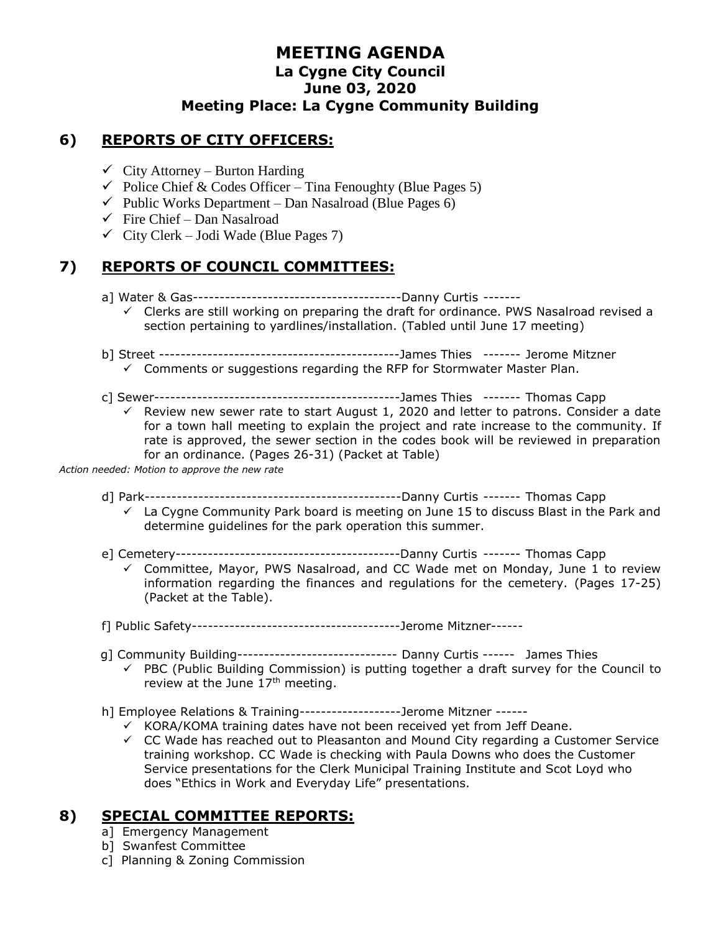### **MEETING AGENDA La Cygne City Council June 03, 2020 Meeting Place: La Cygne Community Building**

### **6) REPORTS OF CITY OFFICERS:**

- $\checkmark$  City Attorney Burton Harding
- $\checkmark$  Police Chief & Codes Officer Tina Fenoughty (Blue Pages 5)
- $\checkmark$  Public Works Department Dan Nasalroad (Blue Pages 6)
- $\checkmark$  Fire Chief Dan Nasalroad
- $\checkmark$  City Clerk Jodi Wade (Blue Pages 7)

# **7) REPORTS OF COUNCIL COMMITTEES:**

- a] Water & Gas---------------------------------------Danny Curtis -------
	- $\checkmark$  Clerks are still working on preparing the draft for ordinance. PWS Nasalroad revised a section pertaining to yardlines/installation. (Tabled until June 17 meeting)
- b] Street ---------------------------------------------James Thies ------- Jerome Mitzner  $\checkmark$  Comments or suggestions regarding the RFP for Stormwater Master Plan.
- 
- c] Sewer----------------------------------------------James Thies ------- Thomas Capp  $\checkmark$  Review new sewer rate to start August 1, 2020 and letter to patrons. Consider a date
	- for a town hall meeting to explain the project and rate increase to the community. If rate is approved, the sewer section in the codes book will be reviewed in preparation for an ordinance. (Pages 26-31) (Packet at Table)

*Action needed: Motion to approve the new rate*

- d] Park------------------------------------------------Danny Curtis ------- Thomas Capp
	- $\checkmark$  La Cygne Community Park board is meeting on June 15 to discuss Blast in the Park and determine guidelines for the park operation this summer.
- e] Cemetery------------------------------------------Danny Curtis ------- Thomas Capp
	- $\checkmark$  Committee, Mayor, PWS Nasalroad, and CC Wade met on Monday, June 1 to review information regarding the finances and regulations for the cemetery. (Pages 17-25) (Packet at the Table).
- f] Public Safety---------------------------------------Jerome Mitzner------
- g] Community Building------------------------------ Danny Curtis ------ James Thies
	- $\checkmark$  PBC (Public Building Commission) is putting together a draft survey for the Council to review at the June 17<sup>th</sup> meeting.
- h] Employee Relations & Training-------------------Jerome Mitzner ------
	- $\checkmark$  KORA/KOMA training dates have not been received yet from Jeff Deane.
	- $\checkmark$  CC Wade has reached out to Pleasanton and Mound City regarding a Customer Service training workshop. CC Wade is checking with Paula Downs who does the Customer Service presentations for the Clerk Municipal Training Institute and Scot Loyd who does "Ethics in Work and Everyday Life" presentations.

#### **8) SPECIAL COMMITTEE REPORTS:**

- a] Emergency Management
- b] Swanfest Committee
- c] Planning & Zoning Commission